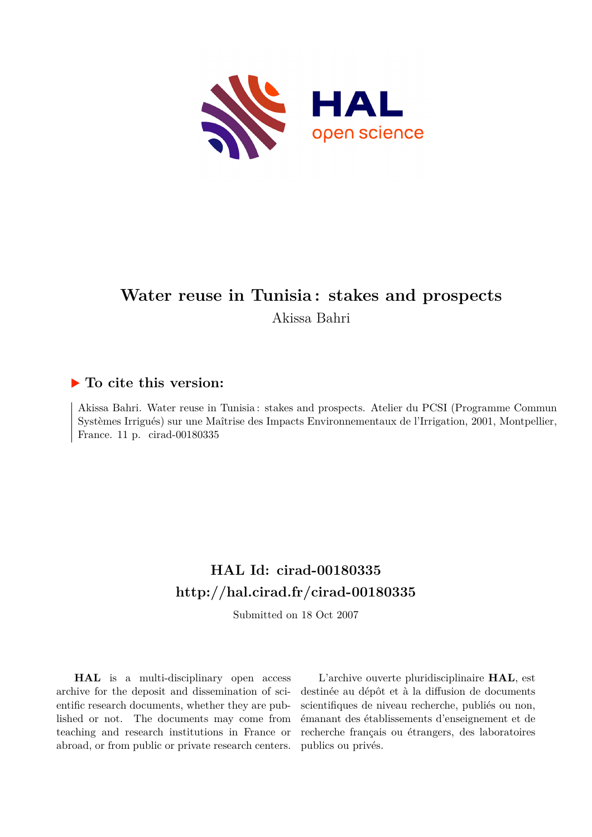

# **Water reuse in Tunisia : stakes and prospects** Akissa Bahri

## **To cite this version:**

Akissa Bahri. Water reuse in Tunisia : stakes and prospects. Atelier du PCSI (Programme Commun Systèmes Irrigués) sur une Maîtrise des Impacts Environnementaux de l'Irrigation, 2001, Montpellier, France. 11 p. cirad-00180335

# **HAL Id: cirad-00180335 <http://hal.cirad.fr/cirad-00180335>**

Submitted on 18 Oct 2007

**HAL** is a multi-disciplinary open access archive for the deposit and dissemination of scientific research documents, whether they are published or not. The documents may come from teaching and research institutions in France or abroad, or from public or private research centers.

L'archive ouverte pluridisciplinaire **HAL**, est destinée au dépôt et à la diffusion de documents scientifiques de niveau recherche, publiés ou non, émanant des établissements d'enseignement et de recherche français ou étrangers, des laboratoires publics ou privés.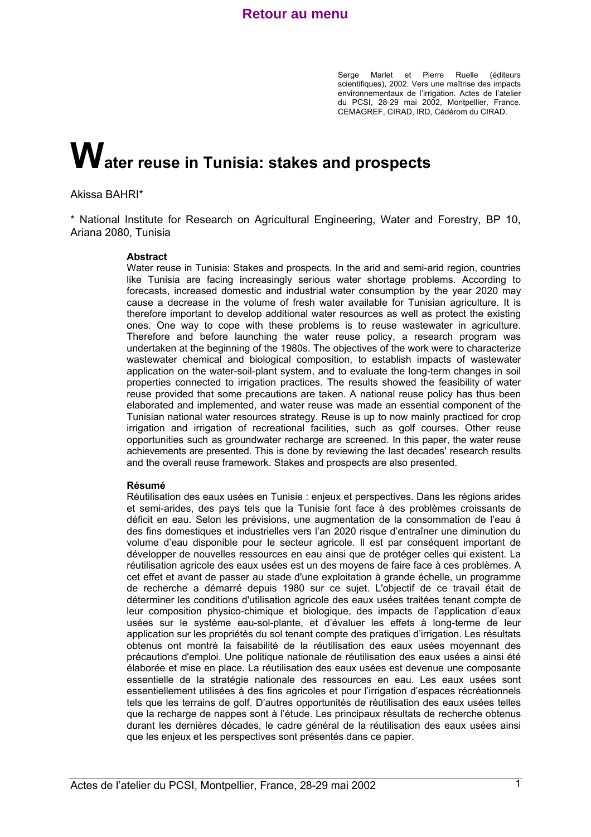Serge Marlet et Pierre Ruelle (éditeurs scientifiques), 2002. Vers une maîtrise des impacts environnementaux de l'irrigation. Actes de l'atelier du PCSI, 28-29 mai 2002, Montpellier, France. CEMAGREF, CIRAD, IRD, Cédérom du CIRAD.

# **Water reuse in Tunisia: stakes and prospects**

#### Akissa BAHRI\*

\* National Institute for Research on Agricultural Engineering, Water and Forestry, BP 10, Ariana 2080, Tunisia

#### **Abstract**

Water reuse in Tunisia: Stakes and prospects. In the arid and semi-arid region, countries like Tunisia are facing increasingly serious water shortage problems. According to forecasts, increased domestic and industrial water consumption by the year 2020 may cause a decrease in the volume of fresh water available for Tunisian agriculture. It is therefore important to develop additional water resources as well as protect the existing ones. One way to cope with these problems is to reuse wastewater in agriculture. Therefore and before launching the water reuse policy, a research program was undertaken at the beginning of the 1980s. The objectives of the work were to characterize wastewater chemical and biological composition, to establish impacts of wastewater application on the water-soil-plant system, and to evaluate the long-term changes in soil properties connected to irrigation practices. The results showed the feasibility of water reuse provided that some precautions are taken. A national reuse policy has thus been elaborated and implemented, and water reuse was made an essential component of the Tunisian national water resources strategy. Reuse is up to now mainly practiced for crop irrigation and irrigation of recreational facilities, such as golf courses. Other reuse opportunities such as groundwater recharge are screened. In this paper, the water reuse achievements are presented. This is done by reviewing the last decades' research results and the overall reuse framework. Stakes and prospects are also presented.

#### **Résumé**

Réutilisation des eaux usées en Tunisie : enjeux et perspectives. Dans les régions arides et semi-arides, des pays tels que la Tunisie font face à des problèmes croissants de déficit en eau. Selon les prévisions, une augmentation de la consommation de l'eau à des fins domestiques et industrielles vers l'an 2020 risque d'entraîner une diminution du volume d'eau disponible pour le secteur agricole. Il est par conséquent important de développer de nouvelles ressources en eau ainsi que de protéger celles qui existent. La réutilisation agricole des eaux usées est un des moyens de faire face à ces problèmes. A cet effet et avant de passer au stade d'une exploitation à grande échelle, un programme de recherche a démarré depuis 1980 sur ce sujet. L'objectif de ce travail était de déterminer les conditions d'utilisation agricole des eaux usées traitées tenant compte de leur composition physico-chimique et biologique, des impacts de l'application d'eaux usées sur le système eau-sol-plante, et d'évaluer les effets à long-terme de leur application sur les propriétés du sol tenant compte des pratiques d'irrigation. Les résultats obtenus ont montré la faisabilité de la réutilisation des eaux usées moyennant des précautions d'emploi. Une politique nationale de réutilisation des eaux usées a ainsi été élaborée et mise en place. La réutilisation des eaux usées est devenue une composante essentielle de la stratégie nationale des ressources en eau. Les eaux usées sont essentiellement utilisées à des fins agricoles et pour l'irrigation d'espaces récréationnels tels que les terrains de golf. D'autres opportunités de réutilisation des eaux usées telles que la recharge de nappes sont à l'étude. Les principaux résultats de recherche obtenus durant les dernières décades, le cadre général de la réutilisation des eaux usées ainsi que les enjeux et les perspectives sont présentés dans ce papier.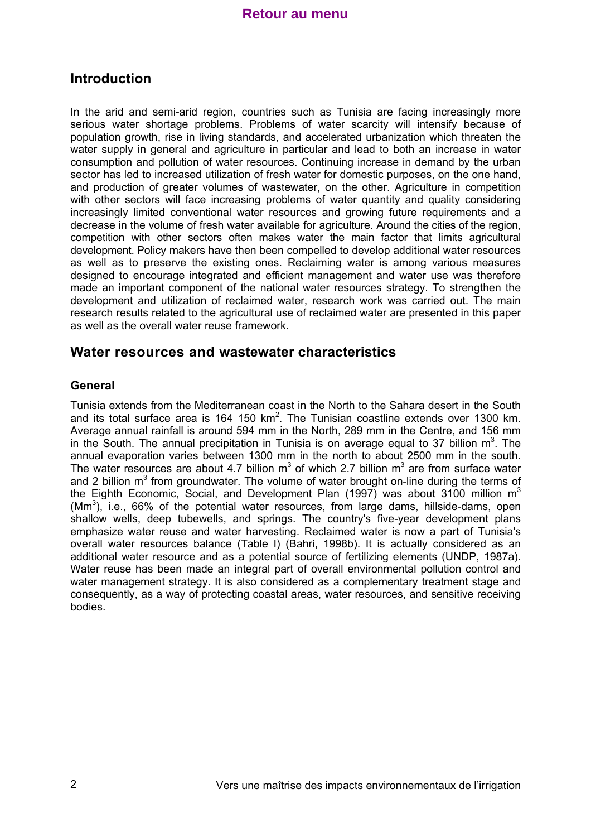# **Introduction**

In the arid and semi-arid region, countries such as Tunisia are facing increasingly more serious water shortage problems. Problems of water scarcity will intensify because of population growth, rise in living standards, and accelerated urbanization which threaten the water supply in general and agriculture in particular and lead to both an increase in water consumption and pollution of water resources. Continuing increase in demand by the urban sector has led to increased utilization of fresh water for domestic purposes, on the one hand, and production of greater volumes of wastewater, on the other. Agriculture in competition with other sectors will face increasing problems of water quantity and quality considering increasingly limited conventional water resources and growing future requirements and a decrease in the volume of fresh water available for agriculture. Around the cities of the region, competition with other sectors often makes water the main factor that limits agricultural development. Policy makers have then been compelled to develop additional water resources as well as to preserve the existing ones. Reclaiming water is among various measures designed to encourage integrated and efficient management and water use was therefore made an important component of the national water resources strategy. To strengthen the development and utilization of reclaimed water, research work was carried out. The main research results related to the agricultural use of reclaimed water are presented in this paper as well as the overall water reuse framework.

## **Water resources and wastewater characteristics**

#### **General**

Tunisia extends from the Mediterranean coast in the North to the Sahara desert in the South and its total surface area is 164 150 km<sup>2</sup>. The Tunisian coastline extends over 1300 km. Average annual rainfall is around 594 mm in the North, 289 mm in the Centre, and 156 mm in the South. The annual precipitation in Tunisia is on average equal to 37 billion  $m^3$ . The annual evaporation varies between 1300 mm in the north to about 2500 mm in the south. The water resources are about 4.7 billion  $m^3$  of which 2.7 billion  $m^3$  are from surface water and 2 billion m<sup>3</sup> from groundwater. The volume of water brought on-line during the terms of the Eighth Economic, Social, and Development Plan (1997) was about 3100 million  $m<sup>3</sup>$  $(Mm<sup>3</sup>)$ , i.e., 66% of the potential water resources, from large dams, hillside-dams, open shallow wells, deep tubewells, and springs. The country's five-year development plans emphasize water reuse and water harvesting. Reclaimed water is now a part of Tunisia's overall water resources balance (Table I) (Bahri, 1998b). It is actually considered as an additional water resource and as a potential source of fertilizing elements (UNDP, 1987a). Water reuse has been made an integral part of overall environmental pollution control and water management strategy. It is also considered as a complementary treatment stage and consequently, as a way of protecting coastal areas, water resources, and sensitive receiving bodies.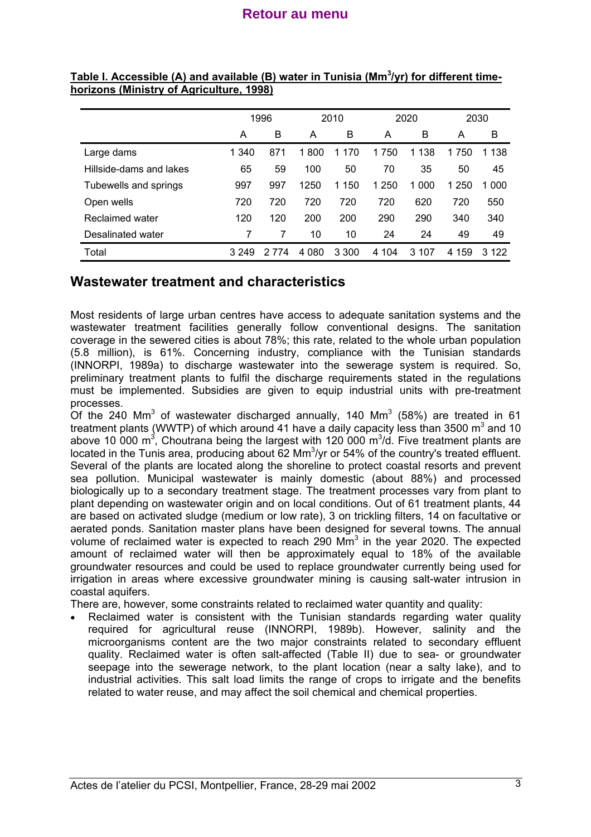|                         | 1996    |         | 2010     |         | 2020     |         | 2030     |       |
|-------------------------|---------|---------|----------|---------|----------|---------|----------|-------|
|                         | А       | B       | A        | В       | A        | B       | A        | в     |
| Large dams              | 1 340   | 871     | 1800     | 1 170   | 750<br>1 | 1 1 3 8 | 1 750    | 1 138 |
| Hillside-dams and lakes | 65      | 59      | 100      | 50      | 70       | 35      | 50       | 45    |
| Tubewells and springs   | 997     | 997     | 1250     | 1 150   | 250<br>1 | 1 000   | 1 250    | 1 000 |
| Open wells              | 720     | 720     | 720      | 720     | 720      | 620     | 720      | 550   |
| Reclaimed water         | 120     | 120     | 200      | 200     | 290      | 290     | 340      | 340   |
| Desalinated water       | 7       |         | 10       | 10      | 24       | 24      | 49       | 49    |
| Total                   | 3 2 4 9 | 2 7 7 4 | 080<br>4 | 3 3 0 0 | 4 104    | 3 107   | 159<br>4 | 3.122 |

#### **Table I. Accessible (A) and available (B) water in Tunisia (Mm<sup>3</sup> /yr) for different timehorizons (Ministry of Agriculture, 1998)**

## **Wastewater treatment and characteristics**

Most residents of large urban centres have access to adequate sanitation systems and the wastewater treatment facilities generally follow conventional designs. The sanitation coverage in the sewered cities is about 78%; this rate, related to the whole urban population (5.8 million), is 61%. Concerning industry, compliance with the Tunisian standards (INNORPI, 1989a) to discharge wastewater into the sewerage system is required. So, preliminary treatment plants to fulfil the discharge requirements stated in the regulations must be implemented. Subsidies are given to equip industrial units with pre-treatment processes.

Of the 240 Mm<sup>3</sup> of wastewater discharged annually, 140 Mm<sup>3</sup> (58%) are treated in 61 treatment plants (WWTP) of which around 41 have a daily capacity less than 3500 m<sup>3</sup> and 10 above 10 000 m<sup>3</sup>, Choutrana being the largest with 120 000 m<sup>3</sup>/d. Five treatment plants are located in the Tunis area, producing about 62 Mm<sup>3</sup>/yr or 54% of the country's treated effluent. Several of the plants are located along the shoreline to protect coastal resorts and prevent sea pollution. Municipal wastewater is mainly domestic (about 88%) and processed biologically up to a secondary treatment stage. The treatment processes vary from plant to plant depending on wastewater origin and on local conditions. Out of 61 treatment plants, 44 are based on activated sludge (medium or low rate), 3 on trickling filters, 14 on facultative or aerated ponds. Sanitation master plans have been designed for several towns. The annual volume of reclaimed water is expected to reach 290  $\text{Mm}^3$  in the year 2020. The expected amount of reclaimed water will then be approximately equal to 18% of the available groundwater resources and could be used to replace groundwater currently being used for irrigation in areas where excessive groundwater mining is causing salt-water intrusion in coastal aquifers.

There are, however, some constraints related to reclaimed water quantity and quality:

Reclaimed water is consistent with the Tunisian standards regarding water quality required for agricultural reuse (INNORPI, 1989b). However, salinity and the microorganisms content are the two major constraints related to secondary effluent quality. Reclaimed water is often salt-affected (Table II) due to sea- or groundwater seepage into the sewerage network, to the plant location (near a salty lake), and to industrial activities. This salt load limits the range of crops to irrigate and the benefits related to water reuse, and may affect the soil chemical and chemical properties.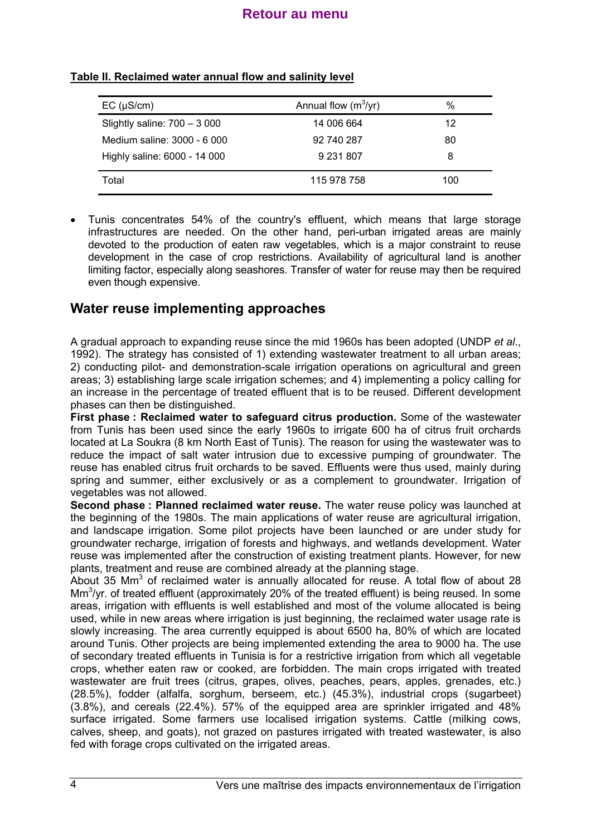| $EC$ ( $\mu$ S/cm)            | Annual flow $(m^3/yr)$ | %   |
|-------------------------------|------------------------|-----|
| Slightly saline: $700 - 3000$ | 14 006 664             | 12  |
| Medium saline: 3000 - 6 000   | 92 740 287             | 80  |
| Highly saline: 6000 - 14 000  | 9 231 807              | 8   |
| Total                         | 115 978 758            | 100 |

#### **Table II. Reclaimed water annual flow and salinity level**

• Tunis concentrates 54% of the country's effluent, which means that large storage infrastructures are needed. On the other hand, peri-urban irrigated areas are mainly devoted to the production of eaten raw vegetables, which is a major constraint to reuse development in the case of crop restrictions. Availability of agricultural land is another limiting factor, especially along seashores. Transfer of water for reuse may then be required even though expensive.

## **Water reuse implementing approaches**

A gradual approach to expanding reuse since the mid 1960s has been adopted (UNDP *et al*., 1992). The strategy has consisted of 1) extending wastewater treatment to all urban areas; 2) conducting pilot- and demonstration-scale irrigation operations on agricultural and green areas; 3) establishing large scale irrigation schemes; and 4) implementing a policy calling for an increase in the percentage of treated effluent that is to be reused. Different development phases can then be distinguished.

**First phase : Reclaimed water to safeguard citrus production.** Some of the wastewater from Tunis has been used since the early 1960s to irrigate 600 ha of citrus fruit orchards located at La Soukra (8 km North East of Tunis). The reason for using the wastewater was to reduce the impact of salt water intrusion due to excessive pumping of groundwater. The reuse has enabled citrus fruit orchards to be saved. Effluents were thus used, mainly during spring and summer, either exclusively or as a complement to groundwater. Irrigation of vegetables was not allowed.

**Second phase : Planned reclaimed water reuse.** The water reuse policy was launched at the beginning of the 1980s. The main applications of water reuse are agricultural irrigation, and landscape irrigation. Some pilot projects have been launched or are under study for groundwater recharge, irrigation of forests and highways, and wetlands development. Water reuse was implemented after the construction of existing treatment plants. However, for new plants, treatment and reuse are combined already at the planning stage.

About 35  $\text{Mm}^3$  of reclaimed water is annually allocated for reuse. A total flow of about 28 Mm<sup>3</sup>/yr. of treated effluent (approximately 20% of the treated effluent) is being reused. In some areas, irrigation with effluents is well established and most of the volume allocated is being used, while in new areas where irrigation is just beginning, the reclaimed water usage rate is slowly increasing. The area currently equipped is about 6500 ha, 80% of which are located around Tunis. Other projects are being implemented extending the area to 9000 ha. The use of secondary treated effluents in Tunisia is for a restrictive irrigation from which all vegetable crops, whether eaten raw or cooked, are forbidden. The main crops irrigated with treated wastewater are fruit trees (citrus, grapes, olives, peaches, pears, apples, grenades, etc.) (28.5%), fodder (alfalfa, sorghum, berseem, etc.) (45.3%), industrial crops (sugarbeet) (3.8%), and cereals (22.4%). 57% of the equipped area are sprinkler irrigated and 48% surface irrigated. Some farmers use localised irrigation systems. Cattle (milking cows, calves, sheep, and goats), not grazed on pastures irrigated with treated wastewater, is also fed with forage crops cultivated on the irrigated areas.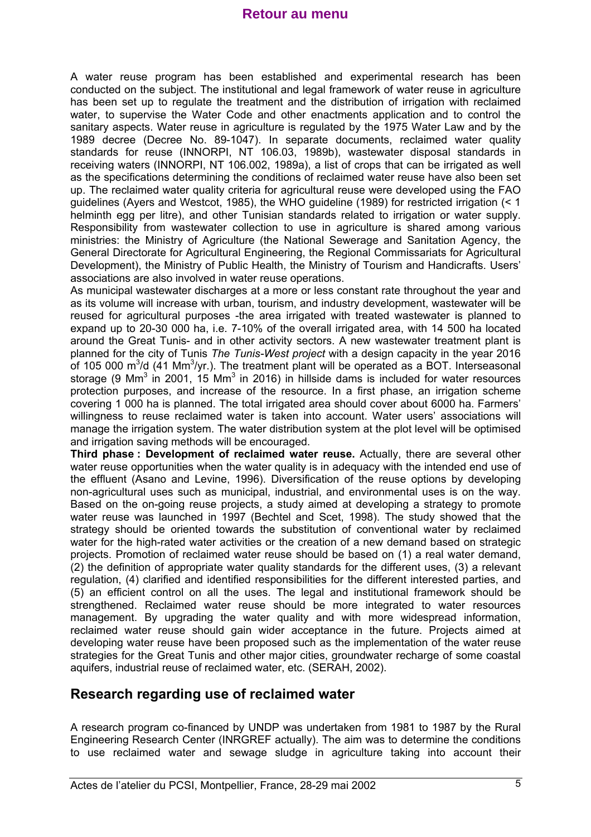A water reuse program has been established and experimental research has been conducted on the subject. The institutional and legal framework of water reuse in agriculture has been set up to regulate the treatment and the distribution of irrigation with reclaimed water, to supervise the Water Code and other enactments application and to control the sanitary aspects. Water reuse in agriculture is regulated by the 1975 Water Law and by the 1989 decree (Decree No. 89-1047). In separate documents, reclaimed water quality standards for reuse (INNORPI, NT 106.03, 1989b), wastewater disposal standards in receiving waters (INNORPI, NT 106.002, 1989a), a list of crops that can be irrigated as well as the specifications determining the conditions of reclaimed water reuse have also been set up. The reclaimed water quality criteria for agricultural reuse were developed using the FAO guidelines (Ayers and Westcot, 1985), the WHO guideline (1989) for restricted irrigation (< 1 helminth egg per litre), and other Tunisian standards related to irrigation or water supply. Responsibility from wastewater collection to use in agriculture is shared among various ministries: the Ministry of Agriculture (the National Sewerage and Sanitation Agency, the General Directorate for Agricultural Engineering, the Regional Commissariats for Agricultural Development), the Ministry of Public Health, the Ministry of Tourism and Handicrafts. Users' associations are also involved in water reuse operations.

As municipal wastewater discharges at a more or less constant rate throughout the year and as its volume will increase with urban, tourism, and industry development, wastewater will be reused for agricultural purposes -the area irrigated with treated wastewater is planned to expand up to 20-30 000 ha, i.e. 7-10% of the overall irrigated area, with 14 500 ha located around the Great Tunis- and in other activity sectors. A new wastewater treatment plant is planned for the city of Tunis *The Tunis-West project* with a design capacity in the year 2016 of 105 000 m<sup>3</sup>/d (41 Mm<sup>3</sup>/yr.). The treatment plant will be operated as a BOT. Interseasonal storage (9 Mm<sup>3</sup> in 2001, 15 Mm<sup>3</sup> in 2016) in hillside dams is included for water resources protection purposes, and increase of the resource. In a first phase, an irrigation scheme covering 1 000 ha is planned. The total irrigated area should cover about 6000 ha. Farmers' willingness to reuse reclaimed water is taken into account. Water users' associations will manage the irrigation system. The water distribution system at the plot level will be optimised and irrigation saving methods will be encouraged.

**Third phase : Development of reclaimed water reuse.** Actually, there are several other water reuse opportunities when the water quality is in adequacy with the intended end use of the effluent (Asano and Levine, 1996). Diversification of the reuse options by developing non-agricultural uses such as municipal, industrial, and environmental uses is on the way. Based on the on-going reuse projects, a study aimed at developing a strategy to promote water reuse was launched in 1997 (Bechtel and Scet, 1998). The study showed that the strategy should be oriented towards the substitution of conventional water by reclaimed water for the high-rated water activities or the creation of a new demand based on strategic projects. Promotion of reclaimed water reuse should be based on (1) a real water demand, (2) the definition of appropriate water quality standards for the different uses, (3) a relevant regulation, (4) clarified and identified responsibilities for the different interested parties, and (5) an efficient control on all the uses. The legal and institutional framework should be strengthened. Reclaimed water reuse should be more integrated to water resources management. By upgrading the water quality and with more widespread information, reclaimed water reuse should gain wider acceptance in the future. Projects aimed at developing water reuse have been proposed such as the implementation of the water reuse strategies for the Great Tunis and other major cities, groundwater recharge of some coastal aquifers, industrial reuse of reclaimed water, etc. (SERAH, 2002).

## **Research regarding use of reclaimed water**

A research program co-financed by UNDP was undertaken from 1981 to 1987 by the Rural Engineering Research Center (INRGREF actually). The aim was to determine the conditions to use reclaimed water and sewage sludge in agriculture taking into account their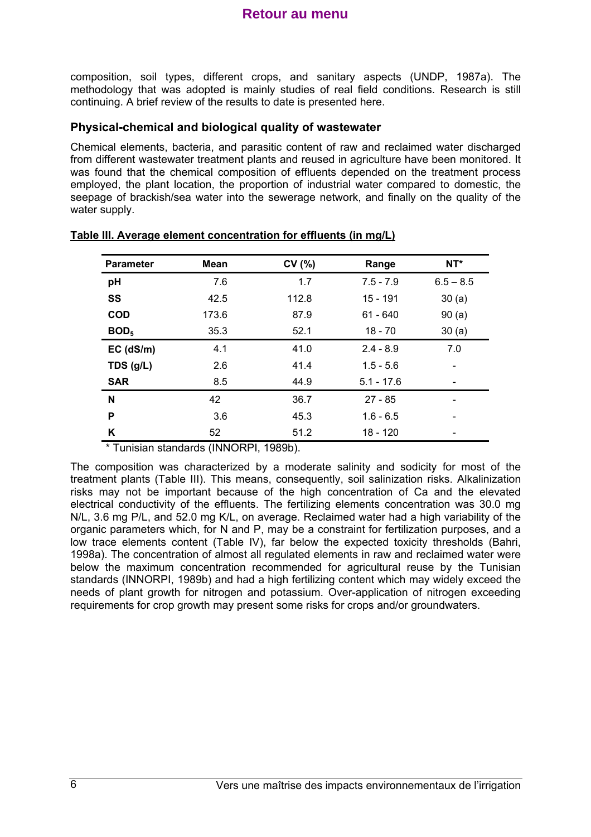composition, soil types, different crops, and sanitary aspects (UNDP, 1987a). The methodology that was adopted is mainly studies of real field conditions. Research is still continuing. A brief review of the results to date is presented here.

#### **Physical-chemical and biological quality of wastewater**

Chemical elements, bacteria, and parasitic content of raw and reclaimed water discharged from different wastewater treatment plants and reused in agriculture have been monitored. It was found that the chemical composition of effluents depended on the treatment process employed, the plant location, the proportion of industrial water compared to domestic, the seepage of brackish/sea water into the sewerage network, and finally on the quality of the water supply.

| <b>Parameter</b> | <b>Mean</b> | CV(%) | Range        | $NT^*$      |
|------------------|-------------|-------|--------------|-------------|
| pH               | 7.6         | 1.7   | $7.5 - 7.9$  | $6.5 - 8.5$ |
| SS               | 42.5        | 112.8 | 15 - 191     | 30(a)       |
| <b>COD</b>       | 173.6       | 87.9  | $61 - 640$   | 90(a)       |
| BOD <sub>5</sub> | 35.3        | 52.1  | $18 - 70$    | 30(a)       |
| $EC$ (dS/m)      | 4.1         | 41.0  | $2.4 - 8.9$  | 7.0         |
| TDS $(g/L)$      | 2.6         | 41.4  | $1.5 - 5.6$  |             |
| <b>SAR</b>       | 8.5         | 44.9  | $5.1 - 17.6$ |             |
| N                | 42          | 36.7  | $27 - 85$    |             |
| P                | 3.6         | 45.3  | $1.6 - 6.5$  |             |
| Κ                | 52          | 51.2  | 18 - 120     |             |

#### **Table III. Average element concentration for effluents (in mg/L)**

\* Tunisian standards (INNORPI, 1989b).

The composition was characterized by a moderate salinity and sodicity for most of the treatment plants (Table III). This means, consequently, soil salinization risks. Alkalinization risks may not be important because of the high concentration of Ca and the elevated electrical conductivity of the effluents. The fertilizing elements concentration was 30.0 mg N/L, 3.6 mg P/L, and 52.0 mg K/L, on average. Reclaimed water had a high variability of the organic parameters which, for N and P, may be a constraint for fertilization purposes, and a low trace elements content (Table IV), far below the expected toxicity thresholds (Bahri, 1998a). The concentration of almost all regulated elements in raw and reclaimed water were below the maximum concentration recommended for agricultural reuse by the Tunisian standards (INNORPI, 1989b) and had a high fertilizing content which may widely exceed the needs of plant growth for nitrogen and potassium. Over-application of nitrogen exceeding requirements for crop growth may present some risks for crops and/or groundwaters.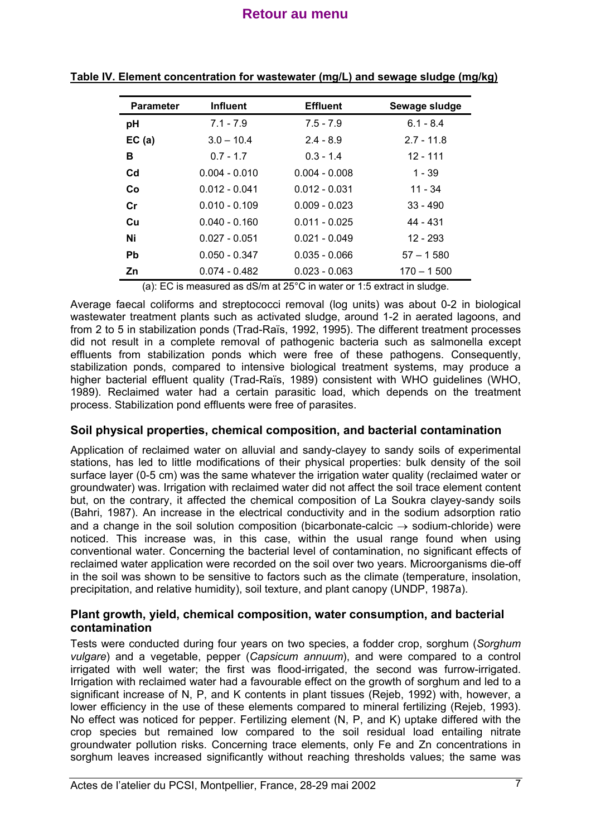| <b>Parameter</b> | <b>Influent</b> | <b>Effluent</b> | Sewage sludge |
|------------------|-----------------|-----------------|---------------|
| рH               | $7.1 - 7.9$     | $7.5 - 7.9$     | $6.1 - 8.4$   |
| EC(a)            | $3.0 - 10.4$    | $2.4 - 8.9$     | $2.7 - 11.8$  |
| в                | $0.7 - 1.7$     | $0.3 - 1.4$     | $12 - 111$    |
| $_{\rm Cd}$      | $0.004 - 0.010$ | $0.004 - 0.008$ | $1 - 39$      |
| Co.              | $0.012 - 0.041$ | $0.012 - 0.031$ | $11 - 34$     |
| Cr               | $0.010 - 0.109$ | $0.009 - 0.023$ | $33 - 490$    |
| <b>Cu</b>        | $0.040 - 0.160$ | $0.011 - 0.025$ | 44 - 431      |
| Ni               | $0.027 - 0.051$ | $0.021 - 0.049$ | $12 - 293$    |
| <b>Pb</b>        | $0.050 - 0.347$ | $0.035 - 0.066$ | $57 - 1580$   |
| Zn               | $0.074 - 0.482$ | $0.023 - 0.063$ | $170 - 1500$  |

**Table IV. Element concentration for wastewater (mg/L) and sewage sludge (mg/kg)**

(a): EC is measured as dS/m at 25°C in water or 1:5 extract in sludge.

Average faecal coliforms and streptococci removal (log units) was about 0-2 in biological wastewater treatment plants such as activated sludge, around 1-2 in aerated lagoons, and from 2 to 5 in stabilization ponds (Trad-Raïs, 1992, 1995). The different treatment processes did not result in a complete removal of pathogenic bacteria such as salmonella except effluents from stabilization ponds which were free of these pathogens. Consequently, stabilization ponds, compared to intensive biological treatment systems, may produce a higher bacterial effluent quality (Trad-Raïs, 1989) consistent with WHO guidelines (WHO, 1989). Reclaimed water had a certain parasitic load, which depends on the treatment process. Stabilization pond effluents were free of parasites.

#### **Soil physical properties, chemical composition, and bacterial contamination**

Application of reclaimed water on alluvial and sandy-clayey to sandy soils of experimental stations, has led to little modifications of their physical properties: bulk density of the soil surface layer (0-5 cm) was the same whatever the irrigation water quality (reclaimed water or groundwater) was. Irrigation with reclaimed water did not affect the soil trace element content but, on the contrary, it affected the chemical composition of La Soukra clayey-sandy soils (Bahri, 1987). An increase in the electrical conductivity and in the sodium adsorption ratio and a change in the soil solution composition (bicarbonate-calcic  $\rightarrow$  sodium-chloride) were noticed. This increase was, in this case, within the usual range found when using conventional water. Concerning the bacterial level of contamination, no significant effects of reclaimed water application were recorded on the soil over two years. Microorganisms die-off in the soil was shown to be sensitive to factors such as the climate (temperature, insolation, precipitation, and relative humidity), soil texture, and plant canopy (UNDP, 1987a).

#### **Plant growth, yield, chemical composition, water consumption, and bacterial contamination**

Tests were conducted during four years on two species, a fodder crop, sorghum (*Sorghum vulgare*) and a vegetable, pepper (*Capsicum annuum*), and were compared to a control irrigated with well water; the first was flood-irrigated, the second was furrow-irrigated. Irrigation with reclaimed water had a favourable effect on the growth of sorghum and led to a significant increase of N, P, and K contents in plant tissues (Rejeb, 1992) with, however, a lower efficiency in the use of these elements compared to mineral fertilizing (Rejeb, 1993). No effect was noticed for pepper. Fertilizing element (N, P, and K) uptake differed with the crop species but remained low compared to the soil residual load entailing nitrate groundwater pollution risks. Concerning trace elements, only Fe and Zn concentrations in sorghum leaves increased significantly without reaching thresholds values; the same was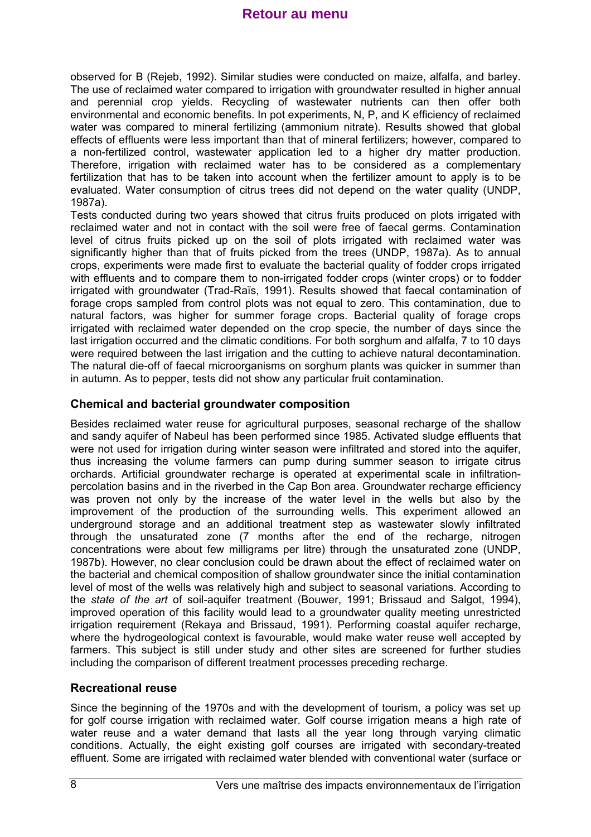observed for B (Rejeb, 1992). Similar studies were conducted on maize, alfalfa, and barley. The use of reclaimed water compared to irrigation with groundwater resulted in higher annual and perennial crop yields. Recycling of wastewater nutrients can then offer both environmental and economic benefits. In pot experiments, N, P, and K efficiency of reclaimed water was compared to mineral fertilizing (ammonium nitrate). Results showed that global effects of effluents were less important than that of mineral fertilizers; however, compared to a non-fertilized control, wastewater application led to a higher dry matter production. Therefore, irrigation with reclaimed water has to be considered as a complementary fertilization that has to be taken into account when the fertilizer amount to apply is to be evaluated. Water consumption of citrus trees did not depend on the water quality (UNDP, 1987a).

Tests conducted during two years showed that citrus fruits produced on plots irrigated with reclaimed water and not in contact with the soil were free of faecal germs. Contamination level of citrus fruits picked up on the soil of plots irrigated with reclaimed water was significantly higher than that of fruits picked from the trees (UNDP, 1987a). As to annual crops, experiments were made first to evaluate the bacterial quality of fodder crops irrigated with effluents and to compare them to non-irrigated fodder crops (winter crops) or to fodder irrigated with groundwater (Trad-Raïs, 1991). Results showed that faecal contamination of forage crops sampled from control plots was not equal to zero. This contamination, due to natural factors, was higher for summer forage crops. Bacterial quality of forage crops irrigated with reclaimed water depended on the crop specie, the number of days since the last irrigation occurred and the climatic conditions. For both sorghum and alfalfa, 7 to 10 days were required between the last irrigation and the cutting to achieve natural decontamination. The natural die-off of faecal microorganisms on sorghum plants was quicker in summer than in autumn. As to pepper, tests did not show any particular fruit contamination.

#### **Chemical and bacterial groundwater composition**

Besides reclaimed water reuse for agricultural purposes, seasonal recharge of the shallow and sandy aquifer of Nabeul has been performed since 1985. Activated sludge effluents that were not used for irrigation during winter season were infiltrated and stored into the aquifer, thus increasing the volume farmers can pump during summer season to irrigate citrus orchards. Artificial groundwater recharge is operated at experimental scale in infiltrationpercolation basins and in the riverbed in the Cap Bon area. Groundwater recharge efficiency was proven not only by the increase of the water level in the wells but also by the improvement of the production of the surrounding wells. This experiment allowed an underground storage and an additional treatment step as wastewater slowly infiltrated through the unsaturated zone (7 months after the end of the recharge, nitrogen concentrations were about few milligrams per litre) through the unsaturated zone (UNDP, 1987b). However, no clear conclusion could be drawn about the effect of reclaimed water on the bacterial and chemical composition of shallow groundwater since the initial contamination level of most of the wells was relatively high and subject to seasonal variations. According to the *state of the art* of soil-aquifer treatment (Bouwer, 1991; Brissaud and Salgot, 1994), improved operation of this facility would lead to a groundwater quality meeting unrestricted irrigation requirement (Rekaya and Brissaud, 1991). Performing coastal aquifer recharge, where the hydrogeological context is favourable, would make water reuse well accepted by farmers. This subject is still under study and other sites are screened for further studies including the comparison of different treatment processes preceding recharge.

#### **Recreational reuse**

Since the beginning of the 1970s and with the development of tourism, a policy was set up for golf course irrigation with reclaimed water. Golf course irrigation means a high rate of water reuse and a water demand that lasts all the year long through varying climatic conditions. Actually, the eight existing golf courses are irrigated with secondary-treated effluent. Some are irrigated with reclaimed water blended with conventional water (surface or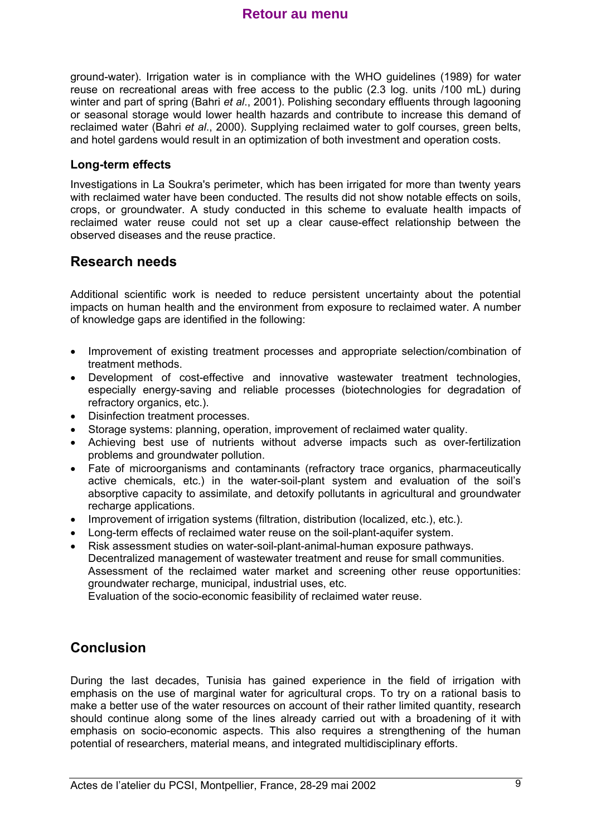ground-water). Irrigation water is in compliance with the WHO guidelines (1989) for water reuse on recreational areas with free access to the public (2.3 log. units /100 mL) during winter and part of spring (Bahri *et al*., 2001). Polishing secondary effluents through lagooning or seasonal storage would lower health hazards and contribute to increase this demand of reclaimed water (Bahri *et al*., 2000). Supplying reclaimed water to golf courses, green belts, and hotel gardens would result in an optimization of both investment and operation costs.

#### **Long-term effects**

Investigations in La Soukra's perimeter, which has been irrigated for more than twenty years with reclaimed water have been conducted. The results did not show notable effects on soils, crops, or groundwater. A study conducted in this scheme to evaluate health impacts of reclaimed water reuse could not set up a clear cause-effect relationship between the observed diseases and the reuse practice.

#### **Research needs**

Additional scientific work is needed to reduce persistent uncertainty about the potential impacts on human health and the environment from exposure to reclaimed water. A number of knowledge gaps are identified in the following:

- Improvement of existing treatment processes and appropriate selection/combination of treatment methods.
- Development of cost-effective and innovative wastewater treatment technologies, especially energy-saving and reliable processes (biotechnologies for degradation of refractory organics, etc.).
- Disinfection treatment processes.
- Storage systems: planning, operation, improvement of reclaimed water quality.
- Achieving best use of nutrients without adverse impacts such as over-fertilization problems and groundwater pollution.
- Fate of microorganisms and contaminants (refractory trace organics, pharmaceutically active chemicals, etc.) in the water-soil-plant system and evaluation of the soil's absorptive capacity to assimilate, and detoxify pollutants in agricultural and groundwater recharge applications.
- Improvement of irrigation systems (filtration, distribution (localized, etc.), etc.).
- Long-term effects of reclaimed water reuse on the soil-plant-aquifer system.
- Risk assessment studies on water-soil-plant-animal-human exposure pathways. Decentralized management of wastewater treatment and reuse for small communities. Assessment of the reclaimed water market and screening other reuse opportunities: groundwater recharge, municipal, industrial uses, etc. Evaluation of the socio-economic feasibility of reclaimed water reuse.

## **Conclusion**

During the last decades, Tunisia has gained experience in the field of irrigation with emphasis on the use of marginal water for agricultural crops. To try on a rational basis to make a better use of the water resources on account of their rather limited quantity, research should continue along some of the lines already carried out with a broadening of it with emphasis on socio-economic aspects. This also requires a strengthening of the human potential of researchers, material means, and integrated multidisciplinary efforts.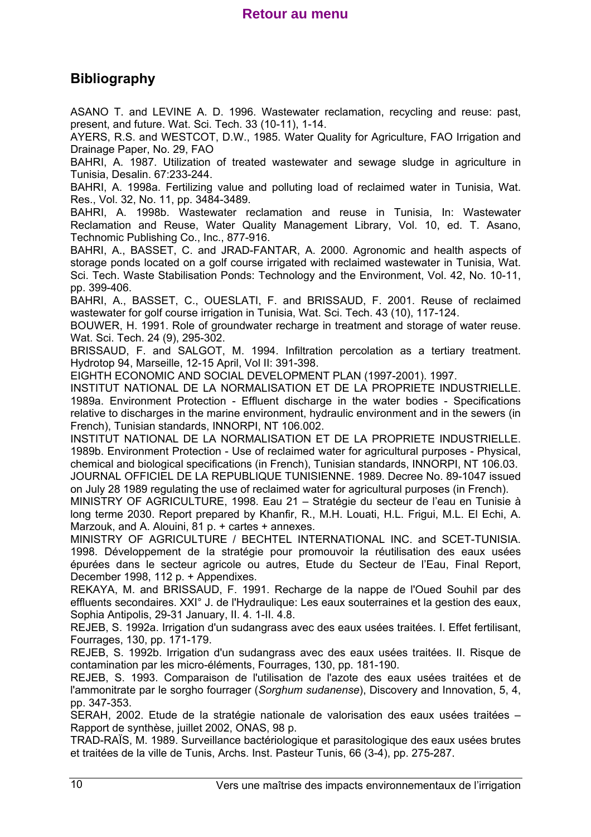# **Bibliography**

ASANO T. and LEVINE A. D. 1996. Wastewater reclamation, recycling and reuse: past, present, and future. Wat. Sci. Tech. 33 (10-11), 1-14.

AYERS, R.S. and WESTCOT, D.W., 1985. Water Quality for Agriculture, FAO Irrigation and Drainage Paper, No. 29, FAO

BAHRI, A. 1987. Utilization of treated wastewater and sewage sludge in agriculture in Tunisia, Desalin. 67:233-244.

BAHRI, A. 1998a. Fertilizing value and polluting load of reclaimed water in Tunisia, Wat. Res., Vol. 32, No. 11, pp. 3484-3489.

BAHRI, A. 1998b. Wastewater reclamation and reuse in Tunisia, In: Wastewater Reclamation and Reuse, Water Quality Management Library, Vol. 10, ed. T. Asano, Technomic Publishing Co., Inc., 877-916.

BAHRI, A., BASSET, C. and JRAD-FANTAR, A. 2000. Agronomic and health aspects of storage ponds located on a golf course irrigated with reclaimed wastewater in Tunisia, Wat. Sci. Tech. Waste Stabilisation Ponds: Technology and the Environment, Vol. 42, No. 10-11, pp. 399-406.

BAHRI, A., BASSET, C., OUESLATI, F. and BRISSAUD, F. 2001. Reuse of reclaimed wastewater for golf course irrigation in Tunisia, Wat. Sci. Tech. 43 (10), 117-124.

BOUWER, H. 1991. Role of groundwater recharge in treatment and storage of water reuse. Wat. Sci. Tech. 24 (9), 295-302.

BRISSAUD, F. and SALGOT, M. 1994. Infiltration percolation as a tertiary treatment. Hydrotop 94, Marseille, 12-15 April, Vol II: 391-398.

EIGHTH ECONOMIC AND SOCIAL DEVELOPMENT PLAN (1997-2001). 1997.

INSTITUT NATIONAL DE LA NORMALISATION ET DE LA PROPRIETE INDUSTRIELLE. 1989a. Environment Protection - Effluent discharge in the water bodies - Specifications relative to discharges in the marine environment, hydraulic environment and in the sewers (in French), Tunisian standards, INNORPI, NT 106.002.

INSTITUT NATIONAL DE LA NORMALISATION ET DE LA PROPRIETE INDUSTRIELLE. 1989b. Environment Protection - Use of reclaimed water for agricultural purposes - Physical, chemical and biological specifications (in French), Tunisian standards, INNORPI, NT 106.03.

JOURNAL OFFICIEL DE LA REPUBLIQUE TUNISIENNE. 1989. Decree No. 89-1047 issued on July 28 1989 regulating the use of reclaimed water for agricultural purposes (in French).

MINISTRY OF AGRICULTURE, 1998. Eau 21 – Stratégie du secteur de l'eau en Tunisie à long terme 2030. Report prepared by Khanfir, R., M.H. Louati, H.L. Frigui, M.L. El Echi, A. Marzouk, and A. Alouini, 81 p. + cartes + annexes.

MINISTRY OF AGRICULTURE / BECHTEL INTERNATIONAL INC. and SCET-TUNISIA. 1998. Développement de la stratégie pour promouvoir la réutilisation des eaux usées épurées dans le secteur agricole ou autres, Etude du Secteur de l'Eau, Final Report, December 1998, 112 p. + Appendixes.

REKAYA, M. and BRISSAUD, F. 1991. Recharge de la nappe de l'Oued Souhil par des effluents secondaires. XXI° J. de l'Hydraulique: Les eaux souterraines et la gestion des eaux, Sophia Antipolis, 29-31 January, II. 4. 1-II. 4.8.

REJEB, S. 1992a. Irrigation d'un sudangrass avec des eaux usées traitées. I. Effet fertilisant, Fourrages, 130, pp. 171-179.

REJEB, S. 1992b. Irrigation d'un sudangrass avec des eaux usées traitées. II. Risque de contamination par les micro-éléments, Fourrages, 130, pp. 181-190.

REJEB, S. 1993. Comparaison de l'utilisation de l'azote des eaux usées traitées et de l'ammonitrate par le sorgho fourrager (*Sorghum sudanense*), Discovery and Innovation, 5, 4, pp. 347-353.

SERAH, 2002. Etude de la stratégie nationale de valorisation des eaux usées traitées – Rapport de synthèse, juillet 2002, ONAS, 98 p.

TRAD-RAÏS, M. 1989. Surveillance bactériologique et parasitologique des eaux usées brutes et traitées de la ville de Tunis, Archs. Inst. Pasteur Tunis, 66 (3-4), pp. 275-287.